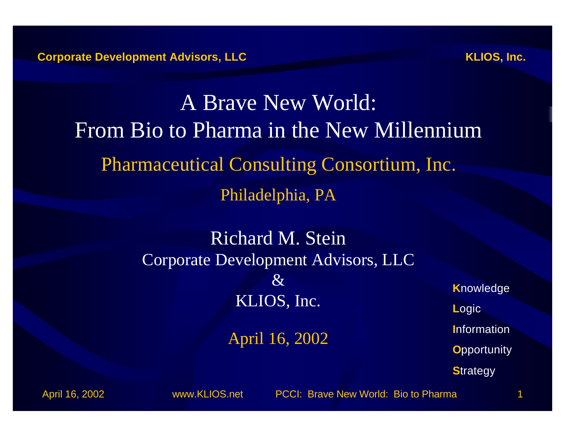A Brave New World: From Bio to Pharma in the New Millennium **Pharmaceutical Consulting Consortium, Inc.** Philadelphia, PA

> **Richard M. Stein** Corporate Development Advisors, LLC  $\mathcal{X}$ KLIOS, Inc.

> > April 16, 2002

**Knowledge** Logic Information **Opportunity Strategy** 

April 16, 2002

www.KLIOS.net

PCCI: Brave New World: Bio to Pharma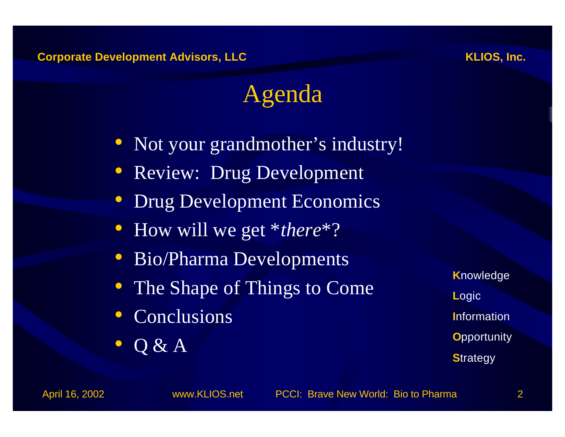KLIOS, Inc.

### Agenda

- Not your grandmother's industry!
- Review: Drug Development
- Drug Development Economics
- How will we get  $*$ *there*<sup>\*?</sup>
- Bio/Pharma Developments
- The Shape of Things to Come
- Conclusions
- $\bullet$  Q & A

**Knowledge** Logic **Information Opportunity Strategy** 

April 16, 2002

www.KLIOS.net

PCCI: Brave New World: Bio to Pharma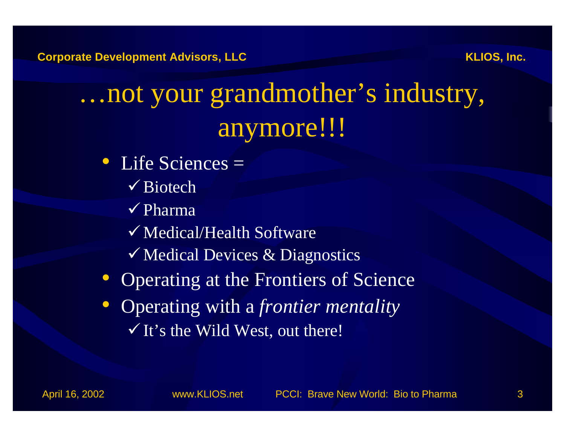# …not your grandmother's industry, anymore!!!

- Life Sciences =
	- $\checkmark$  Biotech
	- $\checkmark$  Pharma
	- $\checkmark$  Medical/Health Software
	- $\checkmark$  Medical Devices & Diagnostics
- Operating at the Frontiers of Science
- Operating with a *frontier mentality*  $\checkmark$  It's the Wild West, out there!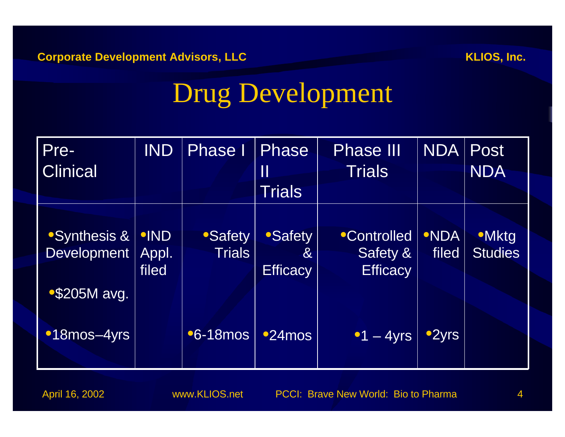# Drug Development

| Pre-<br><b>Clinical</b>                      | <b>IND</b>                    | <b>Phase I</b>                 | Phase<br>$\prod$<br><b>Trials</b>                  | <b>Phase III</b><br>Trials                       | <b>NDA</b>           | <b>Post</b><br><b>NDA</b>      |
|----------------------------------------------|-------------------------------|--------------------------------|----------------------------------------------------|--------------------------------------------------|----------------------|--------------------------------|
| <b>Synthesis &amp;</b><br><b>Development</b> | <b>•IND</b><br>Appl.<br>filed | <b>Safety</b><br><b>Trials</b> | <b>Safety</b><br>8 <sup>2</sup><br><b>Efficacy</b> | <b>Controlled</b><br>Safety &<br><b>Efficacy</b> | <b>•NDA</b><br>filed | <b>•Mktg</b><br><b>Studies</b> |
| $\degree$ \$205M avg.<br><b>18mos-4yrs</b>   |                               | <b>•6-18mos</b>                | $•24$ mos                                          | $\bullet$ 1 - 4yrs                               | ●2yrs                |                                |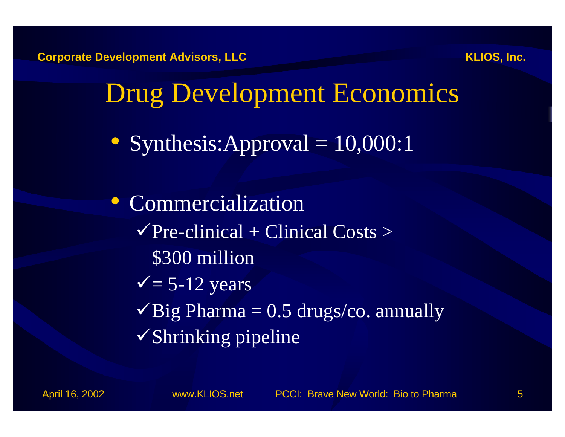

# Drug Development Economics

• Synthesis: Approval = 10,000:1

• Commercialization  $\sqrt{P}$ re-clinical + Clinical Costs > \$300 million  $\sqrt{5-12}$  years  $\sqrt{Big}$  Pharma = 0.5 drugs/co. annually  $\checkmark$ Shrinking pipeline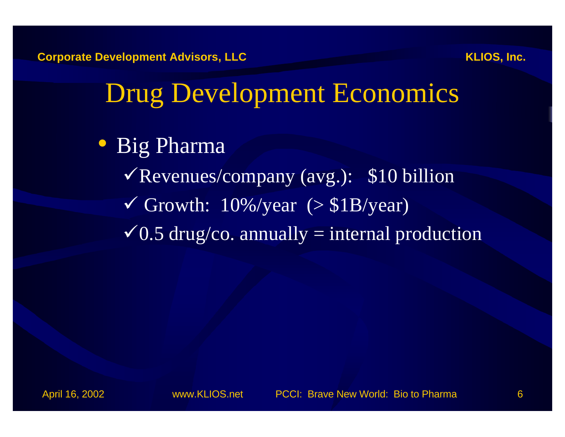# Drug Development Economics

- Big Pharma
	- $\sqrt{\text{Revenues}/\text{company}}$  (avg.): \$10 billion  $\checkmark$  Growth: 10%/year (> \$1B/year)  $\sqrt{0.5}$  drug/co. annually = internal production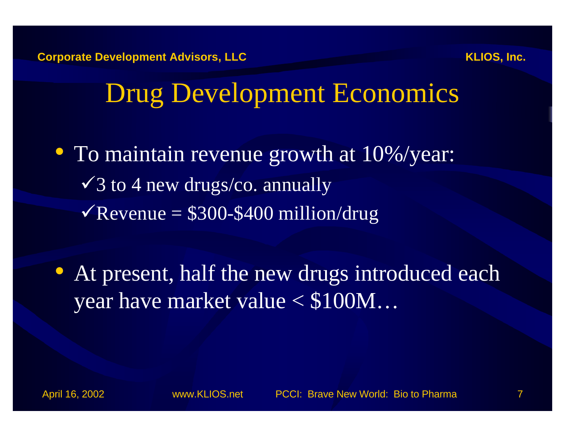# Drug Development Economics

• To maintain revenue growth at 10%/year:  $\sqrt{3}$  to 4 new drugs/co. annually  $\sqrt{\text{Revenue}} = $300 - $400 \text{ million}/\text{drug}$ 

• At present, half the new drugs introduced each year have market value < \$100M…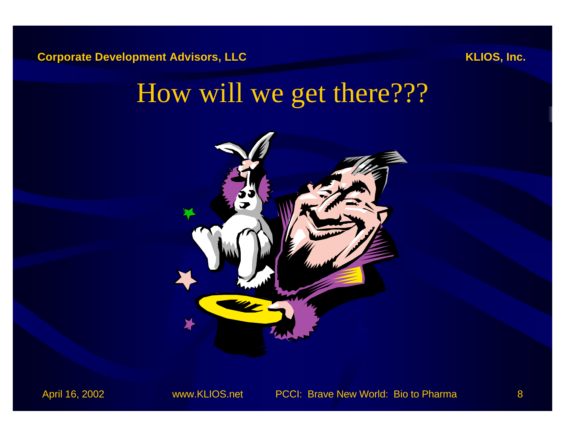# How will we get there???

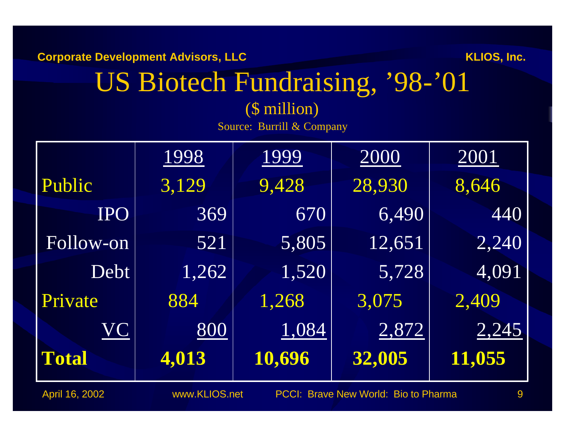# US Biotech Fundraising, '98-'01

#### (\$ million) Source: Burrill & Company

|              | 1998  | 1999   | <u>2000</u> | 2001   |
|--------------|-------|--------|-------------|--------|
| Public       | 3,129 | 9,428  | 28,930      | 8,646  |
| <b>IPO</b>   | 369   | 670    | 6,490       | 440    |
| Follow-on    | 521   | 5,805  | 12,651      | 2,240  |
| Debt         | 1,262 | 1,520  | 5,728       | 4,091  |
| Private      | 884   | 1,268  | 3,075       | 2,409  |
| VC           | 800   | 1,084  | 2,872       | 2,245  |
| <b>Total</b> | 4,013 | 10,696 | 32,005      | 11,055 |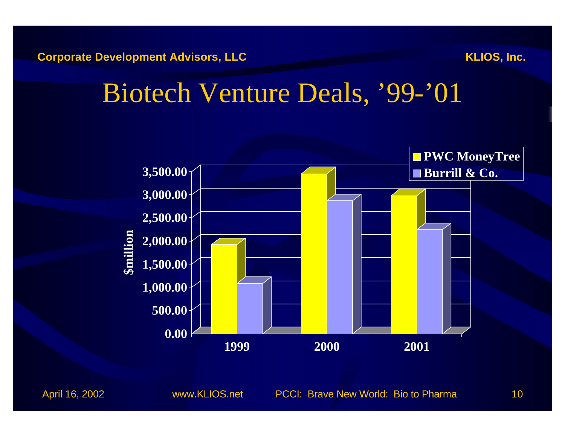## Biotech Venture Deals, '99-'01

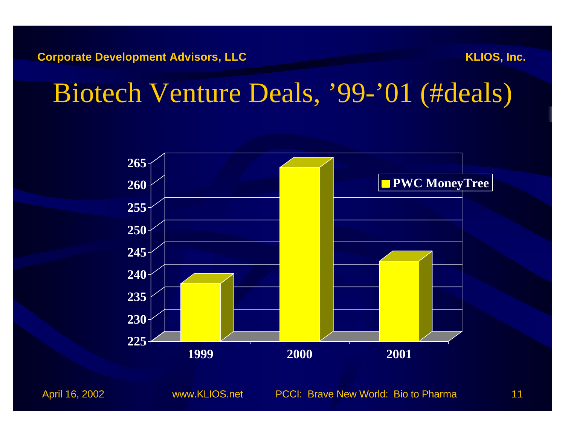# Biotech Venture Deals, '99-'01 (#deals)

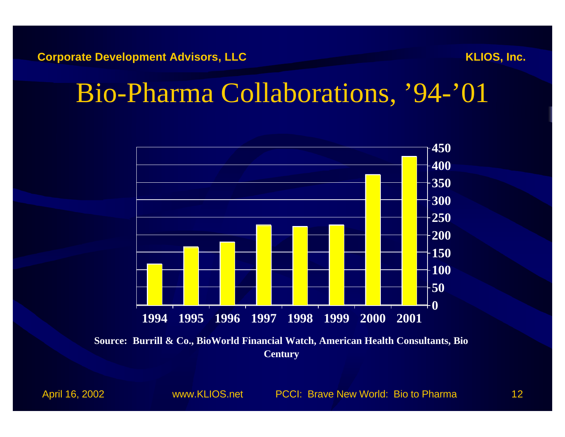## Bio-Pharma Collaborations, '94-'01



**Source: Burrill & Co., BioWorld Financial Watch, American Health Consultants, Bio Century**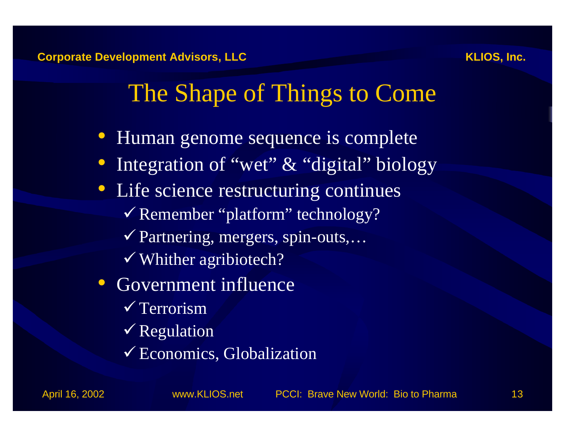- Human genome sequence is complete
- Integration of "wet" & "digital" biology
- Life science restructuring continues  $\checkmark$  Remember "platform" technology? ¸Partnering, mergers, spin-outs,…  $\checkmark$  Whither agribiotech?
- Government influence  $\sqrt{\text{Terorism}}$  $\checkmark$  Regulation
	- ¸Economics, Globalization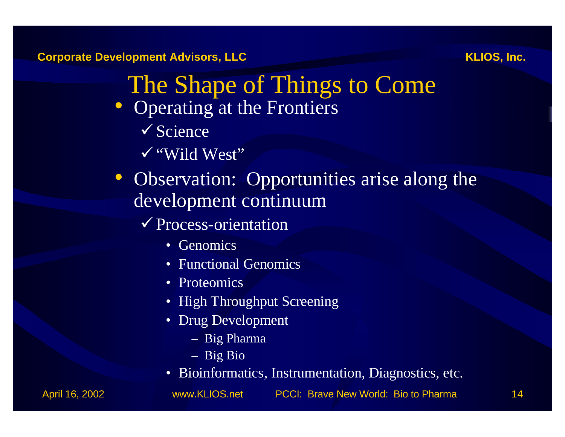- The Shape of Things to Come
- Operating at the Frontiers
	- $\checkmark$  Science
	- ¸"Wild West"
- Observation: Opportunities arise along the development continuum
	- $\checkmark$  Process-orientation
		- Genomics
		- Functional Genomics
		- Proteomics
		- High Throughput Screening
		- Drug Development
			- Big Pharma
			- Big Bio
		- Bioinformatics, Instrumentation, Diagnostics, etc.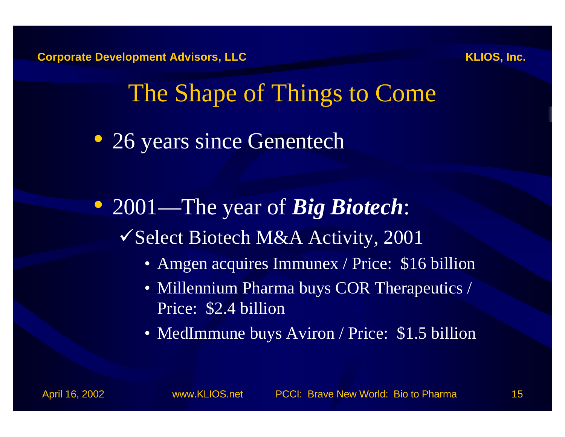• 26 years since Genentech

• 2001—The year of *Big Biotech*:  $\checkmark$  Select Biotech M&A Activity, 2001

- Amgen acquires Immunex / Price: \$16 billion
- Millennium Pharma buys COR Therapeutics / Price: \$2.4 billion
- MedImmune buys Aviron / Price: \$1.5 billion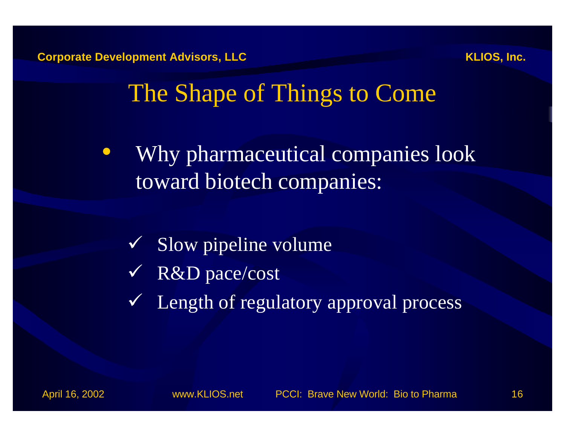

• Why pharmaceutical companies look toward biotech companies:

- $\checkmark$  Slow pipeline volume
- $\sqrt{R\&D}$  pace/cost
- ¸ Length of regulatory approval process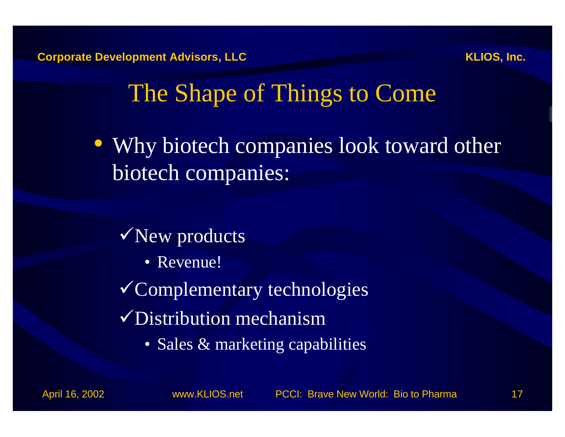• Why biotech companies look toward other biotech companies:

#### $\sqrt{\text{New products}}$

• Revenue!

¸Complementary technologies

- $\sqrt{\text{Distribution}}$  mechanism
	- Sales & marketing capabilities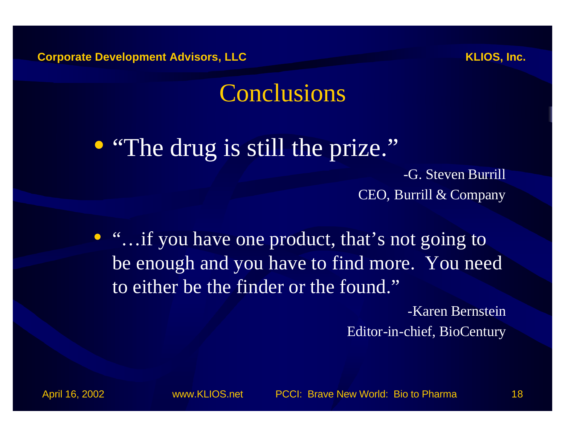#### Conclusions

#### • "The drug is still the prize."

-G. Steven Burrill CEO, Burrill & Company

• "...if you have one product, that's not going to be enough and you have to find more. You need to either be the finder or the found."

> -Karen Bernstein Editor-in-chief, BioCentury